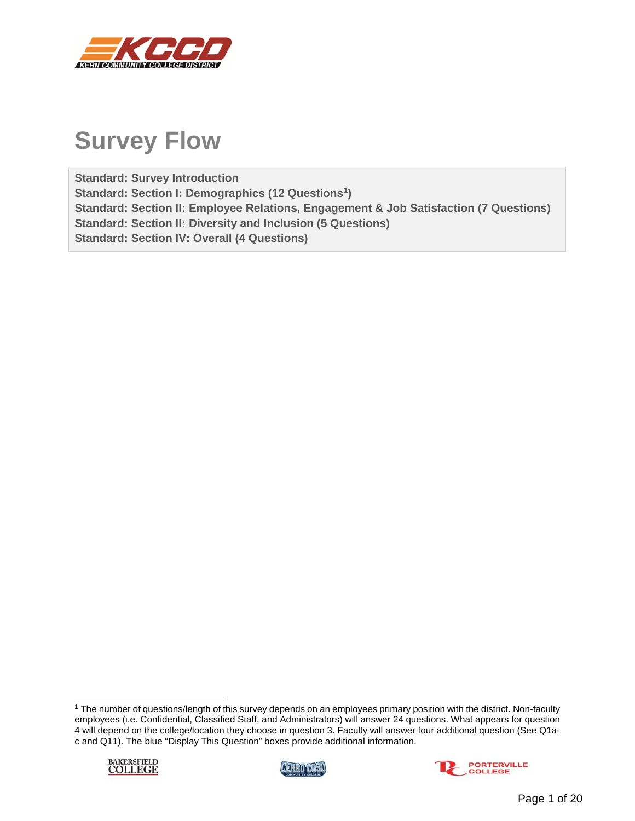

# **Survey Flow**

**Standard: Survey Introduction Standard: Section I: Demographics (12 Questions[1](#page-0-0) ) Standard: Section II: Employee Relations, Engagement & Job Satisfaction (7 Questions) Standard: Section II: Diversity and Inclusion (5 Questions) Standard: Section IV: Overall (4 Questions)**

<span id="page-0-0"></span> <sup>1</sup> The number of questions/length of this survey depends on an employees primary position with the district. Non-faculty employees (i.e. Confidential, Classified Staff, and Administrators) will answer 24 questions. What appears for question 4 will depend on the college/location they choose in question 3. Faculty will answer four additional question (See Q1ac and Q11). The blue "Display This Question" boxes provide additional information.





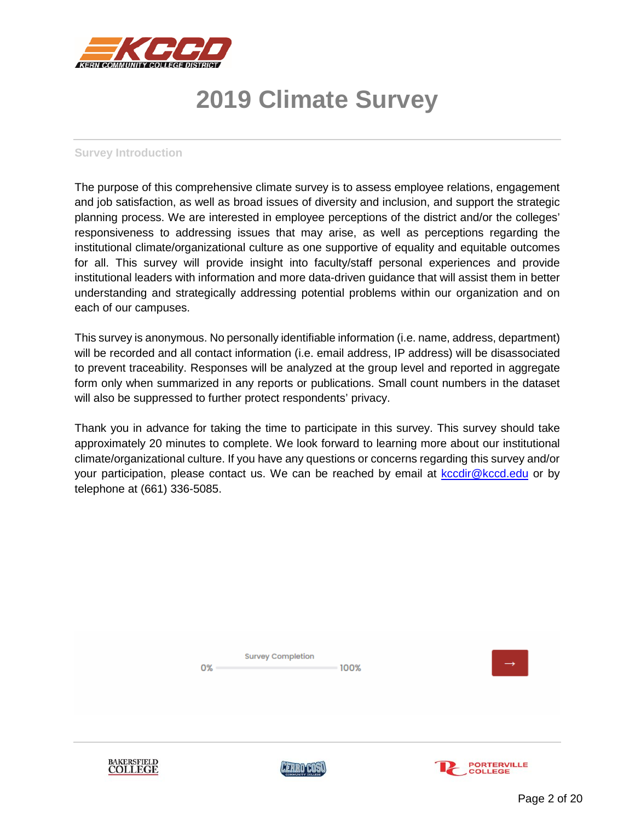

# **2019 Climate Survey**

## **Survey Introduction**

The purpose of this comprehensive climate survey is to assess employee relations, engagement and job satisfaction, as well as broad issues of diversity and inclusion, and support the strategic planning process. We are interested in employee perceptions of the district and/or the colleges' responsiveness to addressing issues that may arise, as well as perceptions regarding the institutional climate/organizational culture as one supportive of equality and equitable outcomes for all. This survey will provide insight into faculty/staff personal experiences and provide institutional leaders with information and more data-driven guidance that will assist them in better understanding and strategically addressing potential problems within our organization and on each of our campuses.

This survey is anonymous. No personally identifiable information (i.e. name, address, department) will be recorded and all contact information (i.e. email address, IP address) will be disassociated to prevent traceability. Responses will be analyzed at the group level and reported in aggregate form only when summarized in any reports or publications. Small count numbers in the dataset will also be suppressed to further protect respondents' privacy.

Thank you in advance for taking the time to participate in this survey. This survey should take approximately 20 minutes to complete. We look forward to learning more about our institutional climate/organizational culture. If you have any questions or concerns regarding this survey and/or your participation, please contact us. We can be reached by email at [kccdir@kccd.edu](file://do-apps01/kccdir/DIRT/Project%20Files/Surveys/Climate%20Survey/kccdir@kccd.edu%20) or by telephone at (661) 336-5085.

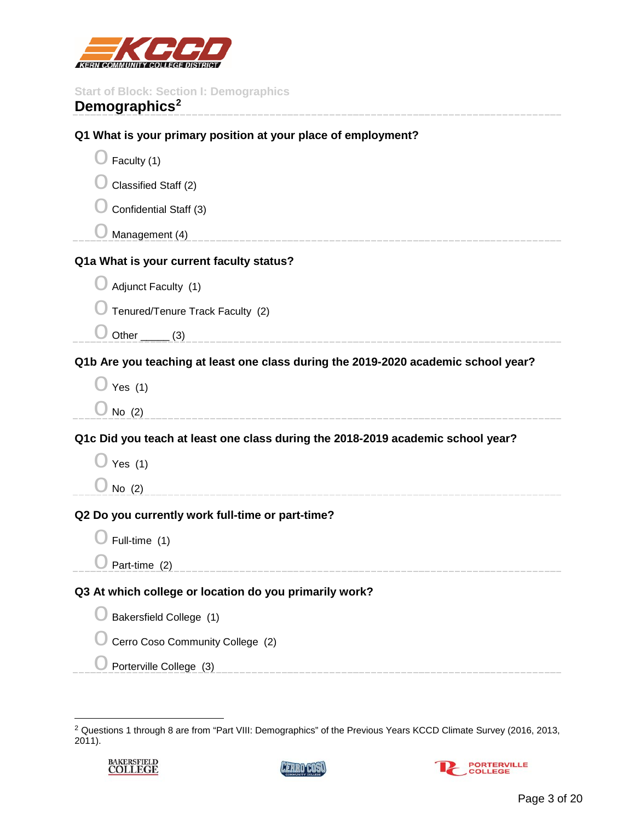

|  |  |  | <b>Start of Block: Section I: Demographics</b> |  |
|--|--|--|------------------------------------------------|--|
|--|--|--|------------------------------------------------|--|

| Demographics <sup>2</sup> |
|---------------------------|
|---------------------------|

<span id="page-2-0"></span><sup>&</sup>lt;sup>2</sup> Questions 1 through 8 are from "Part VIII: Demographics" of the Previous Years KCCD Climate Survey (2016, 2013, 2011).



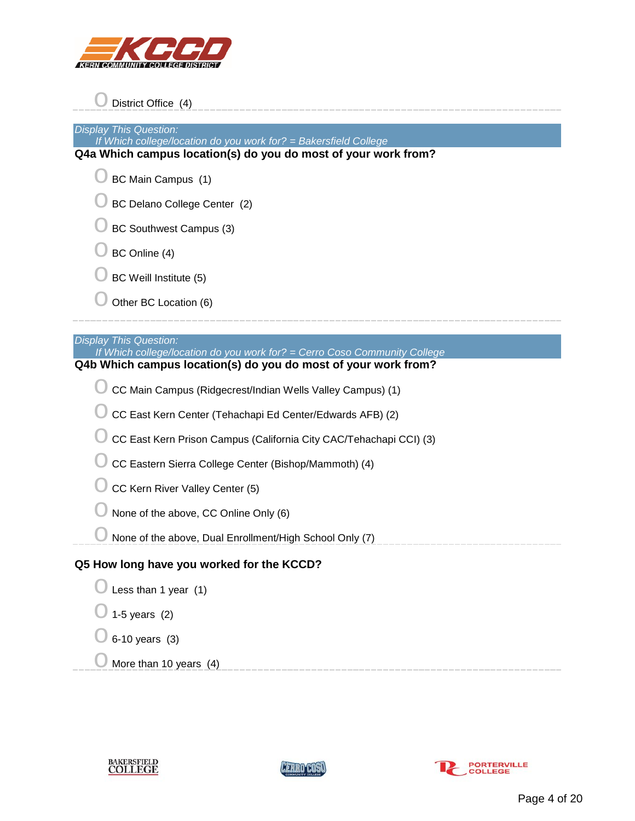

| District Office (4)                                                                                                                                                          |
|------------------------------------------------------------------------------------------------------------------------------------------------------------------------------|
| <b>Display This Question:</b><br>If Which college/location do you work for? = Bakersfield College<br>Q4a Which campus location(s) do you do most of your work from?          |
| BC Main Campus (1)                                                                                                                                                           |
| BC Delano College Center (2)                                                                                                                                                 |
| BC Southwest Campus (3)                                                                                                                                                      |
| BC Online (4)                                                                                                                                                                |
| BC Weill Institute (5)                                                                                                                                                       |
| Other BC Location (6)                                                                                                                                                        |
| <b>Display This Question:</b><br>If Which college/location do you work for? = Cerro Coso Community College<br>Q4b Which campus location(s) do you do most of your work from? |
| CC Main Campus (Ridgecrest/Indian Wells Valley Campus) (1)                                                                                                                   |
| CC East Kern Center (Tehachapi Ed Center/Edwards AFB) (2)                                                                                                                    |
| CC East Kern Prison Campus (California City CAC/Tehachapi CCI) (3)                                                                                                           |
| CC Eastern Sierra College Center (Bishop/Mammoth) (4)                                                                                                                        |
| CC Kern River Valley Center (5)                                                                                                                                              |
| None of the above, CC Online Only (6)                                                                                                                                        |
| None of the above, Dual Enrollment/High School Only (7)                                                                                                                      |
| Q5 How long have you worked for the KCCD?                                                                                                                                    |
| Less than 1 year (1)                                                                                                                                                         |
| 1-5 years $(2)$                                                                                                                                                              |
| 6-10 years (3)                                                                                                                                                               |
| More than 10 years (4)                                                                                                                                                       |

BAKERSFIELD<br>COLLEGE



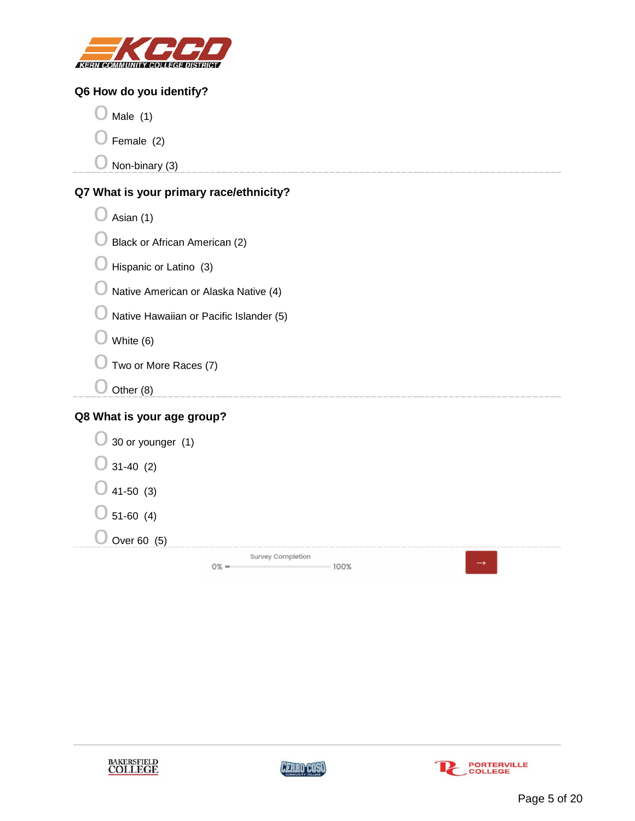

# **Q6 How do you identify?**

 $\bigcirc$  Male (1)

 $\bigcirc$  Female (2)

 $\bigcirc$  Non-binary (3)

# **Q7 What is your primary race/ethnicity?**

| Asian (1)                               |                                    |         |  |
|-----------------------------------------|------------------------------------|---------|--|
| Black or African American (2)           |                                    |         |  |
| Hispanic or Latino (3)                  |                                    |         |  |
| Native American or Alaska Native (4)    |                                    |         |  |
| Native Hawaiian or Pacific Islander (5) |                                    |         |  |
| White (6)                               |                                    |         |  |
| Two or More Races (7)                   |                                    |         |  |
| Other (8)                               |                                    |         |  |
| Q8 What is your age group?              |                                    |         |  |
| 30 or younger (1)                       |                                    |         |  |
| $31-40(2)$                              |                                    |         |  |
| 41-50 (3)                               |                                    |         |  |
| $51-60$ (4)                             |                                    |         |  |
| Over 60 (5)                             |                                    |         |  |
|                                         | <b>Survey Completion</b><br>$0% =$ | $=100%$ |  |





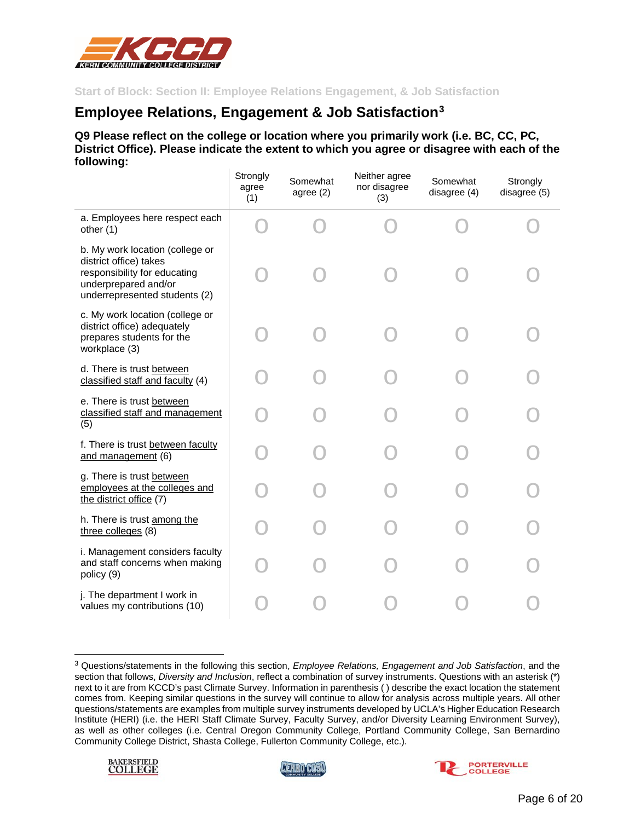

**Start of Block: Section II: Employee Relations Engagement, & Job Satisfaction**

# **Employee Relations, Engagement & Job Satisfactio[n3](#page-5-0)**

**Q9 Please reflect on the college or location where you primarily work (i.e. BC, CC, PC, District Office). Please indicate the extent to which you agree or disagree with each of the following:**

|                                                                                                                                                    | Strongly<br>agree<br>(1) | Somewhat<br>agree $(2)$ | Neither agree<br>nor disagree<br>(3) | Somewhat<br>disagree (4) | Strongly<br>disagree (5) |
|----------------------------------------------------------------------------------------------------------------------------------------------------|--------------------------|-------------------------|--------------------------------------|--------------------------|--------------------------|
| a. Employees here respect each<br>other (1)                                                                                                        |                          |                         |                                      |                          |                          |
| b. My work location (college or<br>district office) takes<br>responsibility for educating<br>underprepared and/or<br>underrepresented students (2) |                          |                         |                                      |                          |                          |
| c. My work location (college or<br>district office) adequately<br>prepares students for the<br>workplace (3)                                       |                          |                         |                                      |                          |                          |
| d. There is trust between<br>classified staff and faculty (4)                                                                                      |                          |                         |                                      |                          |                          |
| e. There is trust between<br>classified staff and management<br>(5)                                                                                |                          |                         |                                      |                          |                          |
| f. There is trust between faculty<br>and management (6)                                                                                            |                          |                         |                                      |                          |                          |
| g. There is trust between<br>employees at the colleges and<br>the district office (7)                                                              |                          |                         |                                      |                          |                          |
| h. There is trust among the<br>three colleges (8)                                                                                                  |                          |                         |                                      |                          |                          |
| i. Management considers faculty<br>and staff concerns when making<br>policy (9)                                                                    |                          |                         |                                      |                          |                          |
| j. The department I work in<br>values my contributions (10)                                                                                        |                          |                         |                                      |                          |                          |

<span id="page-5-0"></span> <sup>3</sup> Questions/statements in the following this section, *Employee Relations, Engagement and Job Satisfaction*, and the section that follows, *Diversity and Inclusion*, reflect a combination of survey instruments. Questions with an asterisk (\*) next to it are from KCCD's past Climate Survey. Information in parenthesis ( ) describe the exact location the statement comes from. Keeping similar questions in the survey will continue to allow for analysis across multiple years. All other questions/statements are examples from multiple survey instruments developed by UCLA's Higher Education Research Institute (HERI) (i.e. the HERI Staff Climate Survey, Faculty Survey, and/or Diversity Learning Environment Survey), as well as other colleges (i.e. Central Oregon Community College, Portland Community College, San Bernardino Community College District, Shasta College, Fullerton Community College, etc.).





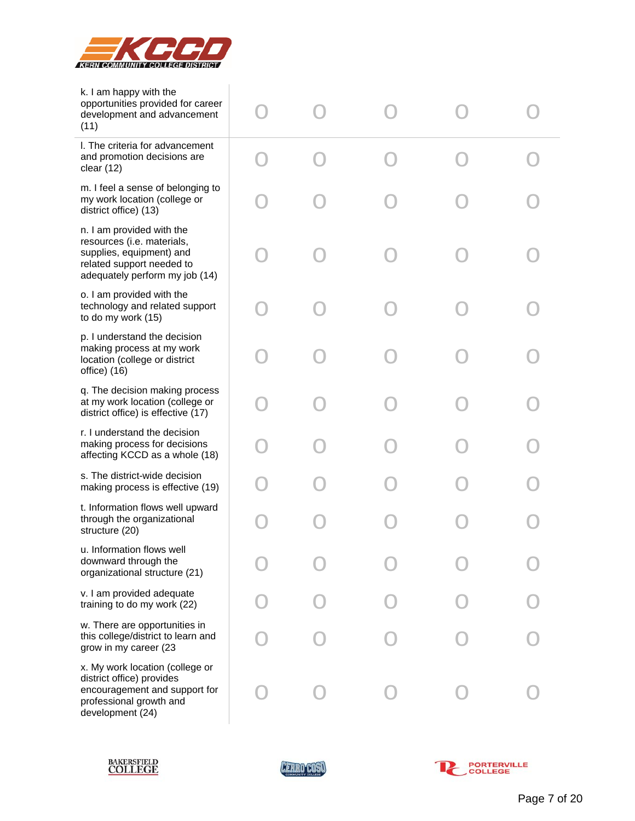

| k. I am happy with the<br>opportunities provided for career<br>development and advancement<br>(11)                                                 |  |  |  |
|----------------------------------------------------------------------------------------------------------------------------------------------------|--|--|--|
| I. The criteria for advancement<br>and promotion decisions are<br>clear $(12)$                                                                     |  |  |  |
| m. I feel a sense of belonging to<br>my work location (college or<br>district office) (13)                                                         |  |  |  |
| n. I am provided with the<br>resources (i.e. materials,<br>supplies, equipment) and<br>related support needed to<br>adequately perform my job (14) |  |  |  |
| o. I am provided with the<br>technology and related support<br>to do my work (15)                                                                  |  |  |  |
| p. I understand the decision<br>making process at my work<br>location (college or district<br>office) (16)                                         |  |  |  |
| q. The decision making process<br>at my work location (college or<br>district office) is effective (17)                                            |  |  |  |
| r. I understand the decision<br>making process for decisions<br>affecting KCCD as a whole (18)                                                     |  |  |  |
| s. The district-wide decision<br>making process is effective (19)                                                                                  |  |  |  |
| t. Information flows well upward<br>through the organizational<br>structure (20)                                                                   |  |  |  |
| u. Information flows well<br>downward through the<br>organizational structure (21)                                                                 |  |  |  |
| v. I am provided adequate<br>training to do my work (22)                                                                                           |  |  |  |
| w. There are opportunities in<br>this college/district to learn and<br>grow in my career (23                                                       |  |  |  |
| x. My work location (college or<br>district office) provides<br>encouragement and support for<br>professional growth and<br>development (24)       |  |  |  |





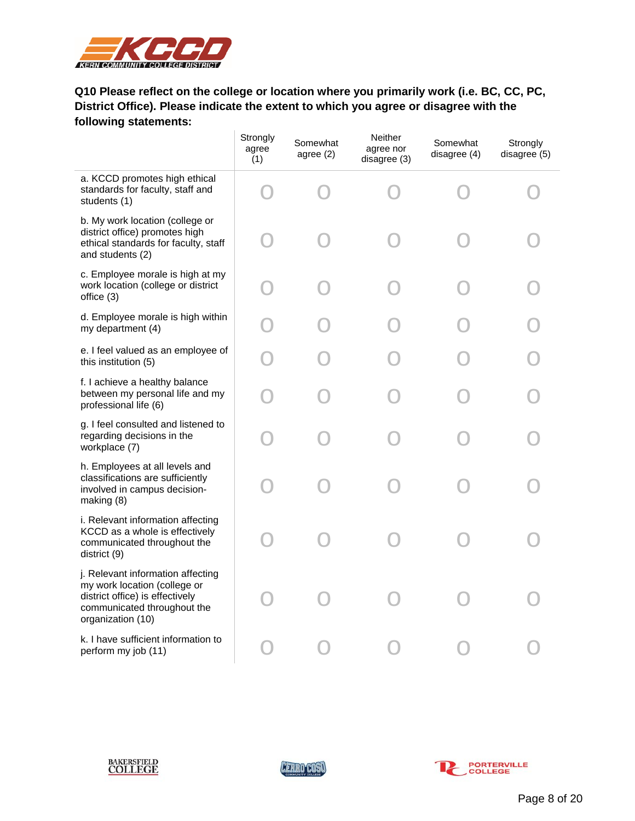

### **Q10 Please reflect on the college or location where you primarily work (i.e. BC, CC, PC, District Office). Please indicate the extent to which you agree or disagree with the following statements:**   $\overline{1}$

|                                                                                                                                                          | Strongly<br>agree<br>(1) | Somewhat<br>agree $(2)$ | Neither<br>agree nor<br>disagree (3) | Somewhat<br>disagree (4) | Strongly<br>disagree (5) |
|----------------------------------------------------------------------------------------------------------------------------------------------------------|--------------------------|-------------------------|--------------------------------------|--------------------------|--------------------------|
| a. KCCD promotes high ethical<br>standards for faculty, staff and<br>students (1)                                                                        |                          |                         |                                      |                          |                          |
| b. My work location (college or<br>district office) promotes high<br>ethical standards for faculty, staff<br>and students (2)                            |                          |                         |                                      |                          |                          |
| c. Employee morale is high at my<br>work location (college or district<br>office (3)                                                                     |                          |                         |                                      |                          |                          |
| d. Employee morale is high within<br>my department (4)                                                                                                   |                          |                         |                                      |                          |                          |
| e. I feel valued as an employee of<br>this institution (5)                                                                                               |                          |                         |                                      |                          |                          |
| f. I achieve a healthy balance<br>between my personal life and my<br>professional life (6)                                                               |                          |                         |                                      |                          |                          |
| g. I feel consulted and listened to<br>regarding decisions in the<br>workplace (7)                                                                       |                          |                         |                                      |                          |                          |
| h. Employees at all levels and<br>classifications are sufficiently<br>involved in campus decision-<br>making (8)                                         |                          |                         |                                      |                          |                          |
| i. Relevant information affecting<br>KCCD as a whole is effectively<br>communicated throughout the<br>district (9)                                       |                          |                         |                                      |                          |                          |
| j. Relevant information affecting<br>my work location (college or<br>district office) is effectively<br>communicated throughout the<br>organization (10) |                          |                         |                                      |                          |                          |
| k. I have sufficient information to<br>perform my job (11)                                                                                               |                          |                         |                                      |                          |                          |





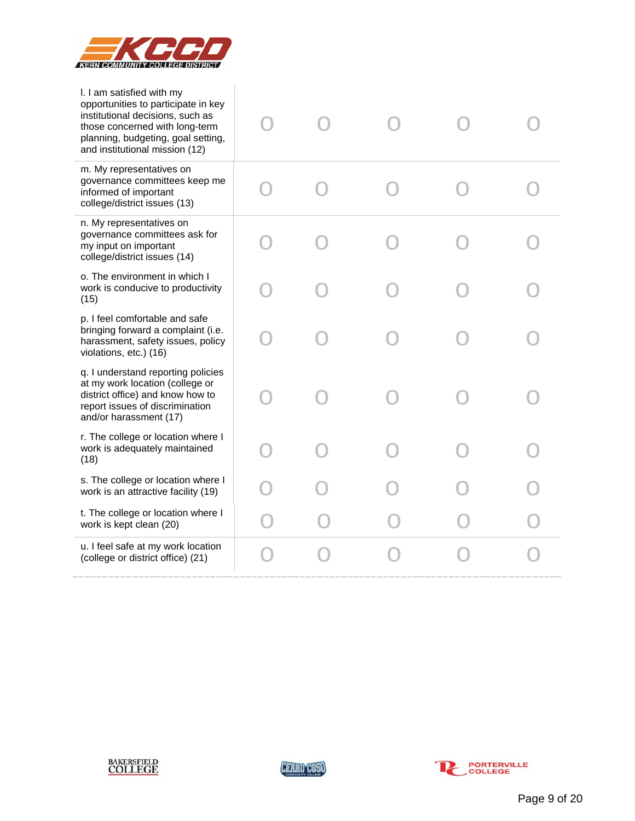

| I. I am satisfied with my<br>opportunities to participate in key<br>institutional decisions, such as<br>those concerned with long-term<br>planning, budgeting, goal setting,<br>and institutional mission (12) |  |  |  |
|----------------------------------------------------------------------------------------------------------------------------------------------------------------------------------------------------------------|--|--|--|
| m. My representatives on<br>governance committees keep me<br>informed of important<br>college/district issues (13)                                                                                             |  |  |  |
| n. My representatives on<br>governance committees ask for<br>my input on important<br>college/district issues (14)                                                                                             |  |  |  |
| o. The environment in which I<br>work is conducive to productivity<br>(15)                                                                                                                                     |  |  |  |
| p. I feel comfortable and safe<br>bringing forward a complaint (i.e.<br>harassment, safety issues, policy<br>violations, etc.) (16)                                                                            |  |  |  |
| q. I understand reporting policies<br>at my work location (college or<br>district office) and know how to<br>report issues of discrimination<br>and/or harassment (17)                                         |  |  |  |
| r. The college or location where I<br>work is adequately maintained<br>(18)                                                                                                                                    |  |  |  |
| s. The college or location where I<br>work is an attractive facility (19)                                                                                                                                      |  |  |  |
| t. The college or location where I<br>work is kept clean (20)                                                                                                                                                  |  |  |  |
| u. I feel safe at my work location<br>(college or district office) (21)                                                                                                                                        |  |  |  |





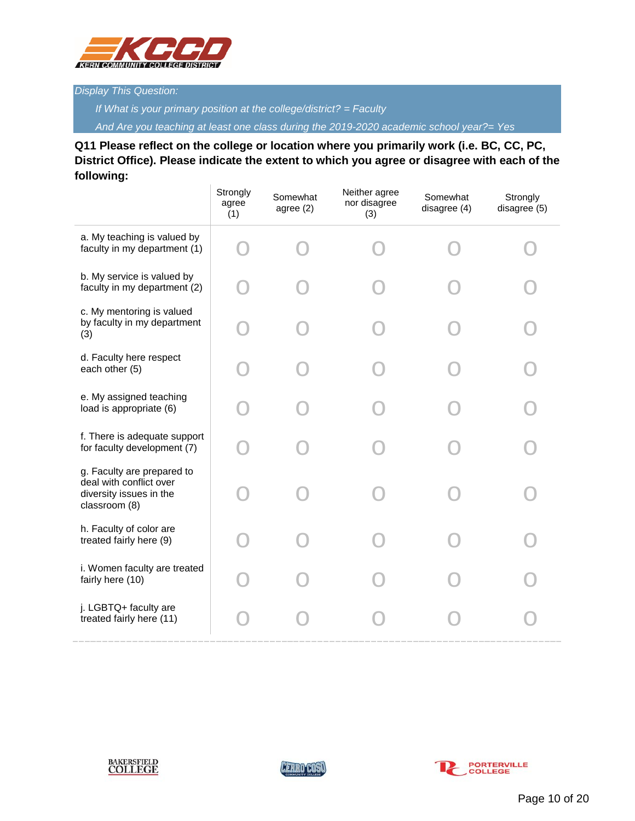

*Display This Question:*

*If What is your primary position at the college/district? = Faculty*

*And Are you teaching at least one class during the 2019-2020 academic school year?= Yes*

**Q11 Please reflect on the college or location where you primarily work (i.e. BC, CC, PC, District Office). Please indicate the extent to which you agree or disagree with each of the following:**

|                                                                                                   | Strongly<br>agree<br>(1) | Somewhat<br>agree $(2)$ | Neither agree<br>nor disagree<br>(3) | Somewhat<br>disagree (4) | Strongly<br>disagree (5) |
|---------------------------------------------------------------------------------------------------|--------------------------|-------------------------|--------------------------------------|--------------------------|--------------------------|
| a. My teaching is valued by<br>faculty in my department (1)                                       |                          |                         |                                      |                          |                          |
| b. My service is valued by<br>faculty in my department (2)                                        |                          |                         |                                      |                          |                          |
| c. My mentoring is valued<br>by faculty in my department<br>(3)                                   |                          |                         |                                      |                          |                          |
| d. Faculty here respect<br>each other (5)                                                         |                          |                         |                                      |                          |                          |
| e. My assigned teaching<br>load is appropriate (6)                                                |                          |                         |                                      |                          |                          |
| f. There is adequate support<br>for faculty development (7)                                       |                          |                         |                                      |                          |                          |
| g. Faculty are prepared to<br>deal with conflict over<br>diversity issues in the<br>classroom (8) |                          |                         |                                      |                          |                          |
| h. Faculty of color are<br>treated fairly here (9)                                                |                          |                         |                                      |                          |                          |
| i. Women faculty are treated<br>fairly here (10)                                                  |                          |                         |                                      |                          |                          |
| j. LGBTQ+ faculty are<br>treated fairly here (11)                                                 |                          |                         |                                      |                          |                          |





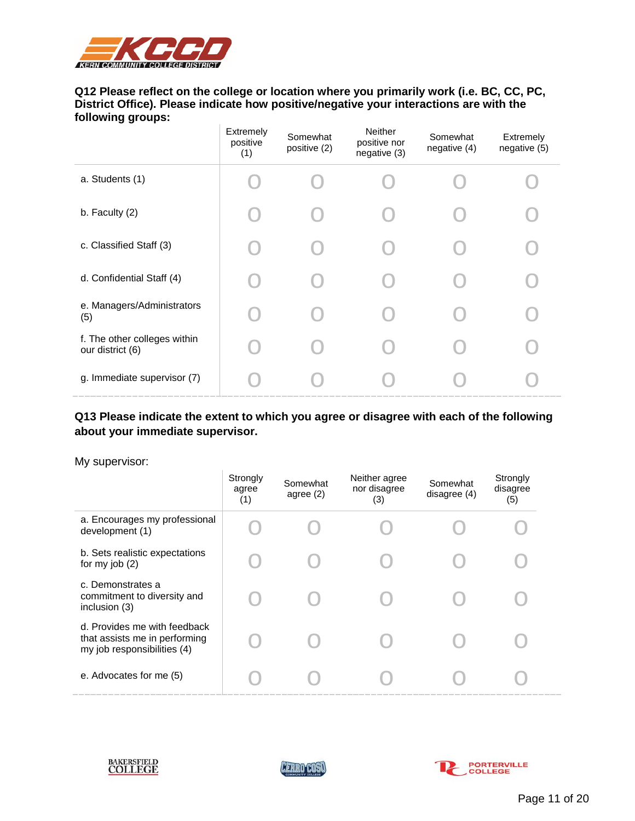

## **Q12 Please reflect on the college or location where you primarily work (i.e. BC, CC, PC, District Office). Please indicate how positive/negative your interactions are with the following groups:**

|                                                  | Extremely<br>positive<br>(1) | Somewhat<br>positive (2) | <b>Neither</b><br>positive nor<br>negative (3) | Somewhat<br>negative (4) | Extremely<br>negative (5) |
|--------------------------------------------------|------------------------------|--------------------------|------------------------------------------------|--------------------------|---------------------------|
| a. Students (1)                                  |                              |                          |                                                |                          |                           |
| b. Faculty $(2)$                                 |                              |                          |                                                |                          |                           |
| c. Classified Staff (3)                          |                              |                          |                                                |                          |                           |
| d. Confidential Staff (4)                        |                              |                          |                                                |                          |                           |
| e. Managers/Administrators<br>(5)                |                              |                          |                                                |                          |                           |
| f. The other colleges within<br>our district (6) |                              |                          |                                                |                          |                           |
| g. Immediate supervisor (7)                      |                              |                          |                                                |                          |                           |

# **Q13 Please indicate the extent to which you agree or disagree with each of the following about your immediate supervisor.**

 $\mathbf{r}$ 

My supervisor:

|                                                                                              | Strongly<br>agree<br>(1) | Somewhat<br>agree $(2)$ | Neither agree<br>nor disagree<br>(3) | Somewhat<br>disagree (4) | Strongly<br>disagree<br>(5) |
|----------------------------------------------------------------------------------------------|--------------------------|-------------------------|--------------------------------------|--------------------------|-----------------------------|
| a. Encourages my professional<br>development (1)                                             |                          |                         |                                      |                          |                             |
| b. Sets realistic expectations<br>for my job $(2)$                                           |                          |                         |                                      |                          |                             |
| c. Demonstrates a<br>commitment to diversity and<br>inclusion (3)                            |                          |                         |                                      |                          |                             |
| d. Provides me with feedback<br>that assists me in performing<br>my job responsibilities (4) |                          |                         |                                      |                          |                             |
| e. Advocates for me (5)                                                                      |                          |                         |                                      |                          |                             |





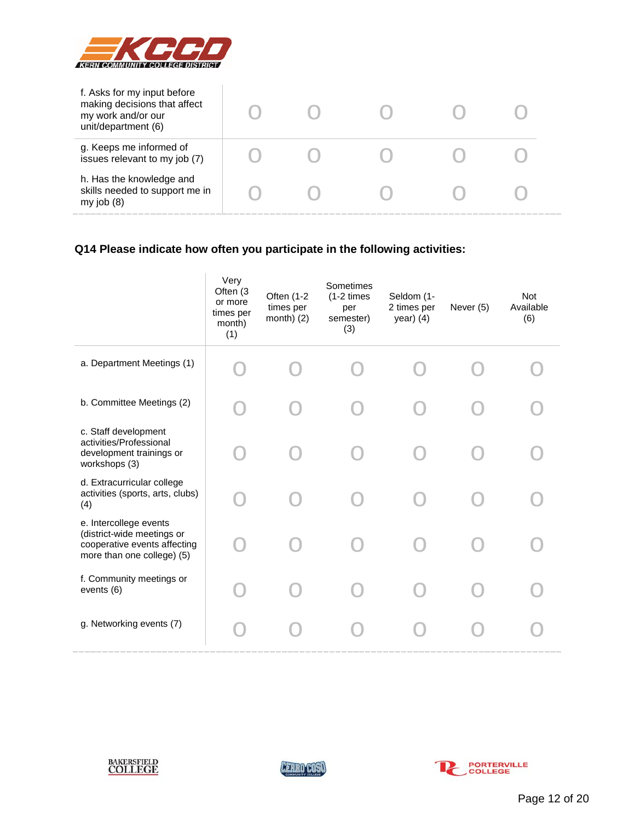

| f. Asks for my input before<br>making decisions that affect<br>my work and/or our<br>unit/department (6) |  |  |  |
|----------------------------------------------------------------------------------------------------------|--|--|--|
| g. Keeps me informed of<br>issues relevant to my job (7)                                                 |  |  |  |
| h. Has the knowledge and<br>skills needed to support me in<br>my job $(8)$                               |  |  |  |

# **Q14 Please indicate how often you participate in the following activities:**

|                                                                                                                    | Very<br>Often (3<br>or more<br>times per<br>month)<br>(1) | Often (1-2<br>times per<br>month) $(2)$ | Sometimes<br>$(1-2 \times)$<br>per<br>semester)<br>(3) | Seldom (1-<br>2 times per<br>year) $(4)$ | Never (5) | <b>Not</b><br>Available<br>(6) |
|--------------------------------------------------------------------------------------------------------------------|-----------------------------------------------------------|-----------------------------------------|--------------------------------------------------------|------------------------------------------|-----------|--------------------------------|
| a. Department Meetings (1)                                                                                         |                                                           |                                         |                                                        |                                          |           |                                |
| b. Committee Meetings (2)                                                                                          |                                                           |                                         |                                                        |                                          |           |                                |
| c. Staff development<br>activities/Professional<br>development trainings or<br>workshops (3)                       |                                                           |                                         |                                                        |                                          |           |                                |
| d. Extracurricular college<br>activities (sports, arts, clubs)<br>(4)                                              |                                                           |                                         |                                                        |                                          |           |                                |
| e. Intercollege events<br>(district-wide meetings or<br>cooperative events affecting<br>more than one college) (5) |                                                           |                                         |                                                        |                                          |           |                                |
| f. Community meetings or<br>events (6)                                                                             |                                                           |                                         |                                                        |                                          |           |                                |
| g. Networking events (7)                                                                                           |                                                           |                                         |                                                        |                                          |           |                                |





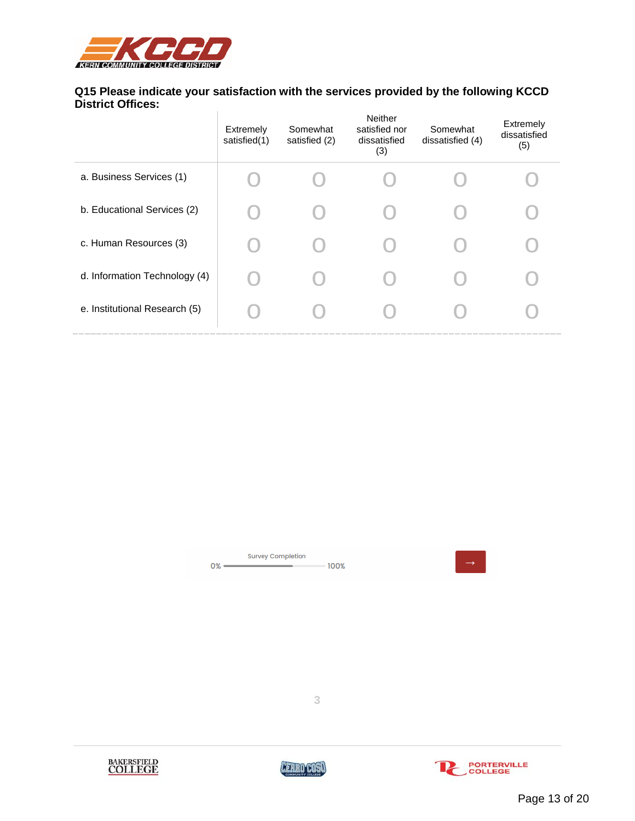

#### **Q15 Please indicate your satisfaction with the services provided by the following KCCD District Offices:**  $\overline{1}$

|                               | Extremely<br>satisfied(1) | Somewhat<br>satisfied (2) | <b>Neither</b><br>satisfied nor<br>dissatisfied<br>(3) | Somewhat<br>dissatisfied (4) | Extremely<br>dissatisfied<br>(5) |
|-------------------------------|---------------------------|---------------------------|--------------------------------------------------------|------------------------------|----------------------------------|
| a. Business Services (1)      |                           |                           |                                                        |                              |                                  |
| b. Educational Services (2)   |                           |                           |                                                        |                              |                                  |
| c. Human Resources (3)        |                           |                           |                                                        |                              |                                  |
| d. Information Technology (4) |                           |                           |                                                        |                              |                                  |
| e. Institutional Research (5) |                           |                           |                                                        |                              |                                  |



**3**





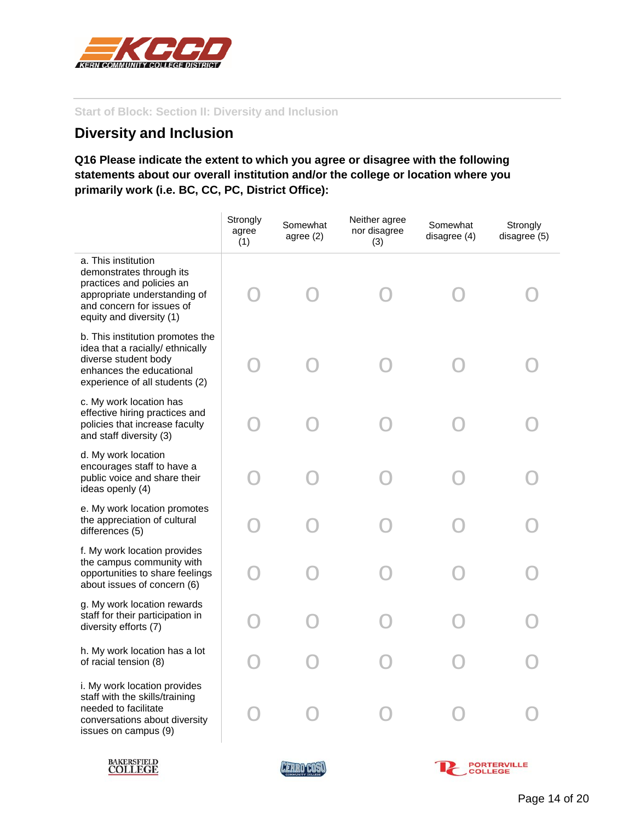

# **Start of Block: Section II: Diversity and Inclusion**

# **Diversity and Inclusion**

# **Q16 Please indicate the extent to which you agree or disagree with the following statements about our overall institution and/or the college or location where you primarily work (i.e. BC, CC, PC, District Office):**

|                                                                                                                                                                       | Strongly<br>agree<br>(1) | Somewhat<br>agree (2) | Neither agree<br>nor disagree<br>(3) | Somewhat<br>disagree (4) | Strongly<br>disagree (5) |
|-----------------------------------------------------------------------------------------------------------------------------------------------------------------------|--------------------------|-----------------------|--------------------------------------|--------------------------|--------------------------|
| a. This institution<br>demonstrates through its<br>practices and policies an<br>appropriate understanding of<br>and concern for issues of<br>equity and diversity (1) |                          |                       |                                      |                          |                          |
| b. This institution promotes the<br>idea that a racially/ ethnically<br>diverse student body<br>enhances the educational<br>experience of all students (2)            |                          |                       |                                      |                          |                          |
| c. My work location has<br>effective hiring practices and<br>policies that increase faculty<br>and staff diversity (3)                                                |                          |                       |                                      |                          |                          |
| d. My work location<br>encourages staff to have a<br>public voice and share their<br>ideas openly (4)                                                                 |                          |                       |                                      |                          |                          |
| e. My work location promotes<br>the appreciation of cultural<br>differences (5)                                                                                       |                          |                       |                                      |                          |                          |
| f. My work location provides<br>the campus community with<br>opportunities to share feelings<br>about issues of concern (6)                                           |                          |                       |                                      |                          |                          |
| g. My work location rewards<br>staff for their participation in<br>diversity efforts (7)                                                                              |                          |                       |                                      |                          |                          |
| h. My work location has a lot<br>of racial tension (8)                                                                                                                |                          |                       |                                      |                          |                          |
| i. My work location provides<br>staff with the skills/training<br>needed to facilitate<br>conversations about diversity<br>issues on campus (9)                       |                          |                       |                                      |                          |                          |





**PORTERVILLE**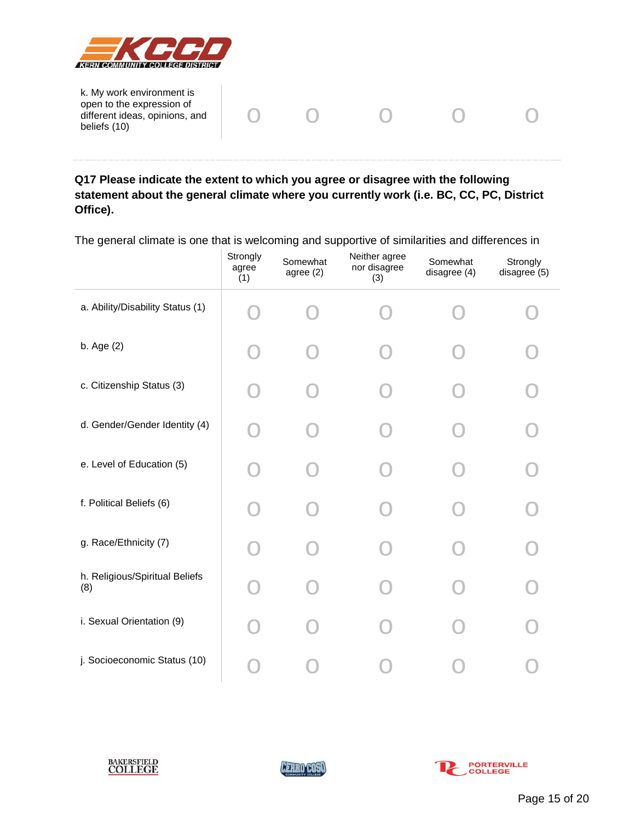

| k. My work environment is<br>open to the expression of<br>different ideas, opinions, and<br>beliefs (10) |  |  |  |
|----------------------------------------------------------------------------------------------------------|--|--|--|
|                                                                                                          |  |  |  |

**Q17 Please indicate the extent to which you agree or disagree with the following statement about the general climate where you currently work (i.e. BC, CC, PC, District Office).**

The general climate is one that is welcoming and supportive of similarities and differences in

|                                       | Strongly<br>agree<br>(1) | Somewhat<br>agree $(2)$ | Neither agree<br>nor disagree<br>(3) | Somewhat<br>disagree (4) | Strongly<br>disagree (5) |
|---------------------------------------|--------------------------|-------------------------|--------------------------------------|--------------------------|--------------------------|
| a. Ability/Disability Status (1)      |                          |                         |                                      |                          |                          |
| b. Age (2)                            |                          |                         |                                      |                          |                          |
| c. Citizenship Status (3)             |                          |                         |                                      |                          |                          |
| d. Gender/Gender Identity (4)         |                          |                         |                                      |                          |                          |
| e. Level of Education (5)             |                          |                         |                                      |                          |                          |
| f. Political Beliefs (6)              |                          |                         |                                      |                          |                          |
| g. Race/Ethnicity (7)                 |                          |                         |                                      |                          |                          |
| h. Religious/Spiritual Beliefs<br>(8) |                          |                         |                                      |                          |                          |
| i. Sexual Orientation (9)             |                          |                         |                                      |                          |                          |
| j. Socioeconomic Status (10)          |                          |                         |                                      |                          |                          |





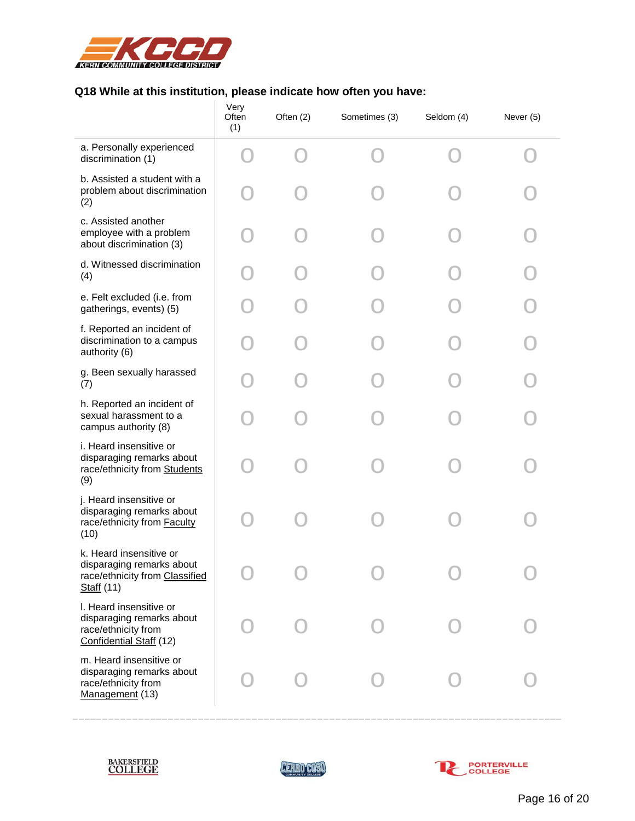

# **Q18 While at this institution, please indicate how often you have:**

|                                                                                                        | Very<br>Often<br>(1) | Often $(2)$ | Sometimes (3) | Seldom (4) | Never (5) |
|--------------------------------------------------------------------------------------------------------|----------------------|-------------|---------------|------------|-----------|
| a. Personally experienced<br>discrimination (1)                                                        |                      |             |               |            |           |
| b. Assisted a student with a<br>problem about discrimination<br>(2)                                    |                      |             |               |            |           |
| c. Assisted another<br>employee with a problem<br>about discrimination (3)                             |                      |             |               |            |           |
| d. Witnessed discrimination<br>(4)                                                                     |                      |             |               |            |           |
| e. Felt excluded (i.e. from<br>gatherings, events) (5)                                                 |                      |             |               |            |           |
| f. Reported an incident of<br>discrimination to a campus<br>authority (6)                              |                      |             |               |            |           |
| g. Been sexually harassed<br>(7)                                                                       |                      |             |               |            |           |
| h. Reported an incident of<br>sexual harassment to a<br>campus authority (8)                           |                      |             |               |            |           |
| i. Heard insensitive or<br>disparaging remarks about<br>race/ethnicity from Students<br>(9)            |                      |             |               |            |           |
| j. Heard insensitive or<br>disparaging remarks about<br>race/ethnicity from <b>Faculty</b><br>(10)     |                      |             |               |            |           |
| k. Heard insensitive or<br>disparaging remarks about<br>race/ethnicity from Classified<br>Staff (11)   |                      |             |               |            |           |
| I. Heard insensitive or<br>disparaging remarks about<br>race/ethnicity from<br>Confidential Staff (12) |                      |             |               |            |           |
| m. Heard insensitive or<br>disparaging remarks about<br>race/ethnicity from<br>Management (13)         |                      |             |               |            |           |





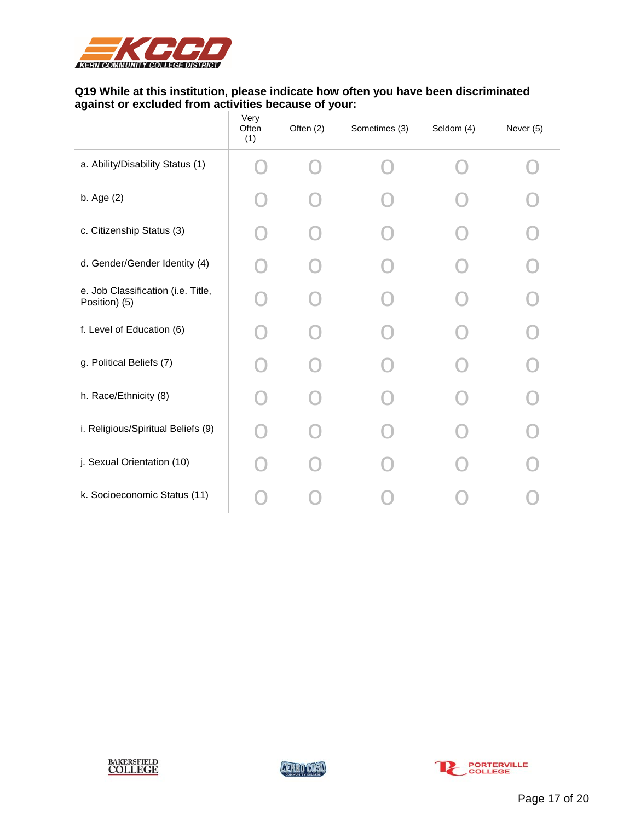

## **Q19 While at this institution, please indicate how often you have been discriminated against or excluded from activities because of your:**

|                                                     | Very<br>Often<br>(1) | Often (2) | Sometimes (3) | Seldom (4) | Never (5) |
|-----------------------------------------------------|----------------------|-----------|---------------|------------|-----------|
| a. Ability/Disability Status (1)                    |                      |           |               |            |           |
| b. Age (2)                                          |                      |           |               |            |           |
| c. Citizenship Status (3)                           |                      |           |               |            |           |
| d. Gender/Gender Identity (4)                       |                      |           |               |            |           |
| e. Job Classification (i.e. Title,<br>Position) (5) |                      |           |               |            |           |
| f. Level of Education (6)                           |                      |           |               |            |           |
| g. Political Beliefs (7)                            |                      |           |               |            |           |
| h. Race/Ethnicity (8)                               |                      |           |               |            |           |
| i. Religious/Spiritual Beliefs (9)                  |                      |           |               |            |           |
| j. Sexual Orientation (10)                          |                      |           |               |            |           |
| k. Socioeconomic Status (11)                        |                      |           |               |            |           |





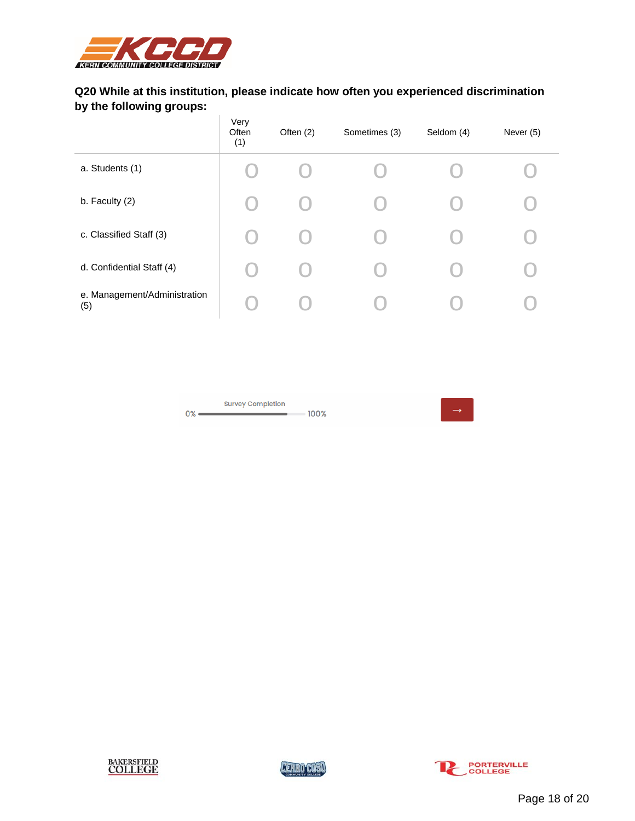

# **Q20 While at this institution, please indicate how often you experienced discrimination by the following groups:**

|                                     | Very<br>Often<br>(1) | Often (2) | Sometimes (3) | Seldom (4) | Never (5) |
|-------------------------------------|----------------------|-----------|---------------|------------|-----------|
| a. Students (1)                     |                      |           |               |            |           |
| b. Faculty (2)                      |                      |           |               |            |           |
| c. Classified Staff (3)             |                      |           |               |            |           |
| d. Confidential Staff (4)           |                      |           |               |            |           |
| e. Management/Administration<br>(5) |                      |           |               |            |           |

| <b>Survey Completion</b> |  |
|--------------------------|--|
| 0%<br>100%               |  |





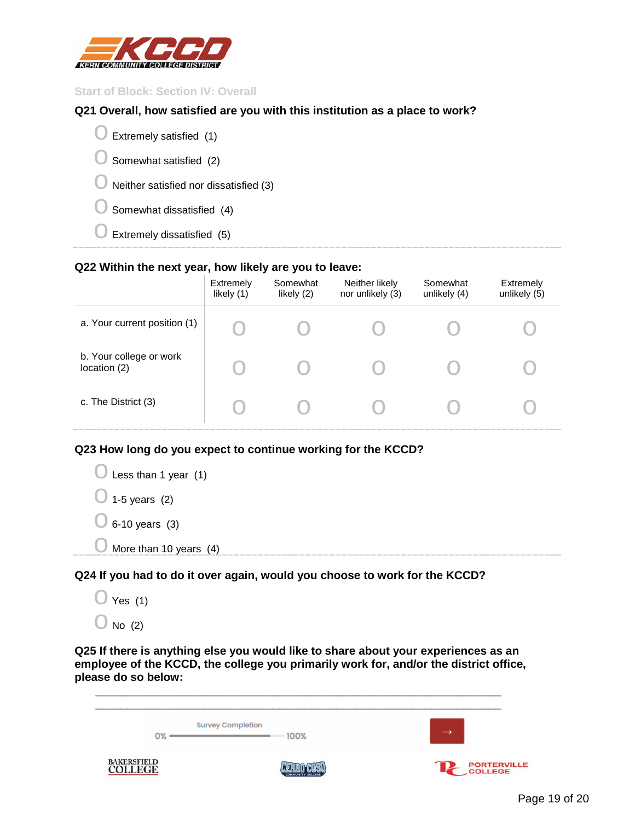

## **Start of Block: Section IV: Overall**

## **Q21 Overall, how satisfied are you with this institution as a place to work?**

 $\bigcup$  Extremely satisfied (1)

 $\bigcirc$  Somewhat satisfied (2)

 $\bigcirc$  Neither satisfied nor dissatisfied (3)

 $\bigcirc$  Somewhat dissatisfied (4)

 $\bigcirc$  Extremely dissatisfied (5)

## **Q22 Within the next year, how likely are you to leave:**

|                                         | Extremely<br>likely (1) | Somewhat<br>likely (2) | Neither likely<br>nor unlikely (3) | Somewhat<br>unlikely (4) | Extremely<br>unlikely (5) |
|-----------------------------------------|-------------------------|------------------------|------------------------------------|--------------------------|---------------------------|
| a. Your current position (1)            |                         |                        |                                    |                          |                           |
| b. Your college or work<br>location (2) |                         |                        |                                    |                          |                           |
| c. The District (3)                     |                         |                        |                                    |                          |                           |

**Q23 How long do you expect to continue working for the KCCD?**

|                           | Q24 If you had to do it over again, would you choose to work for the KCCD? |  |
|---------------------------|----------------------------------------------------------------------------|--|
| More than 10 years (4)    |                                                                            |  |
| $\bigcirc$ 6-10 years (3) |                                                                            |  |
| $\bigcirc$ 1-5 years (2)  |                                                                            |  |
| Less than 1 year (1)      |                                                                            |  |

 $\bigcirc$  Yes (1)

 $\bigcirc$  No (2)

**Q25 If there is anything else you would like to share about your experiences as an employee of the KCCD, the college you primarily work for, and/or the district office, please do so below:**

| 0%                                   | <b>Survey Completion</b><br>100% | $\rightarrow$                 |
|--------------------------------------|----------------------------------|-------------------------------|
| <b>BAKERSFIELD</b><br><b>COLLEGE</b> | <b>COMMUNITY COLLEC</b>          | <b>PORTERVILLE</b><br>COLLEGE |